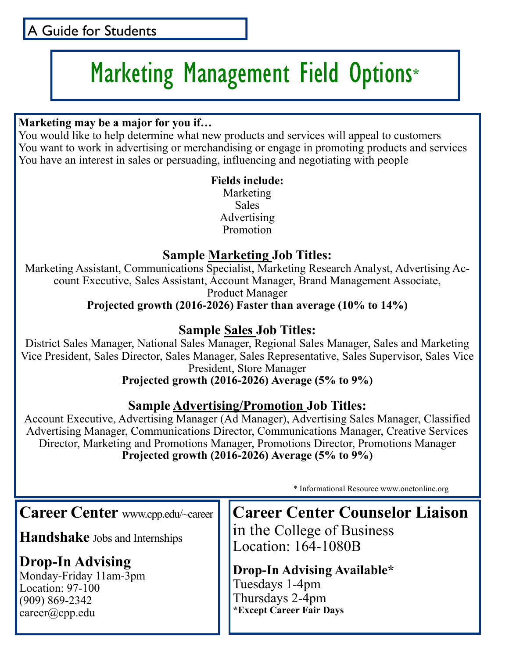### A Guide for Students

# Marketing Management Field Options\*

#### **Marketing may be a major for you if…**

You would like to help determine what new products and services will appeal to customers You want to work in advertising or merchandising or engage in promoting products and services You have an interest in sales or persuading, influencing and negotiating with people

#### **Fields include:**  Marketing Sales Advertising Promotion

#### **Sample Marketing Job Titles:**

Marketing Assistant, Communications Specialist, Marketing Research Analyst, Advertising Account Executive, Sales Assistant, Account Manager, Brand Management Associate,

Product Manager

**Projected growth (2016-2026) Faster than average (10% to 14%)** 

#### **Sample Sales Job Titles:**

District Sales Manager, National Sales Manager, Regional Sales Manager, Sales and Marketing Vice President, Sales Director, Sales Manager, Sales Representative, Sales Supervisor, Sales Vice President, Store Manager

**Projected growth (2016-2026) Average (5% to 9%)** 

#### **Sample Advertising/Promotion Job Titles:**

Account Executive, Advertising Manager (Ad Manager), Advertising Sales Manager, Classified Advertising Manager, Communications Director, Communications Manager, Creative Services Director, Marketing and Promotions Manager, Promotions Director, Promotions Manager **Projected growth (2016-2026) Average (5% to 9%)** 

\* Informational Resource www.onetonline.org

**Career Center** www.cpp.edu/~career

**Handshake** Jobs and Internships

### **Drop-In Advising**

Monday-Friday 11am-3pm Location: 97-100 (909) 869-2342 career@cpp.edu

**Career Center Counselor Liaison**  in the College of Business Location: 164-1080B

**Drop-In Advising Available\***  Tuesdays 1-4pm Thursdays 2-4pm **\*Except Career Fair Days**